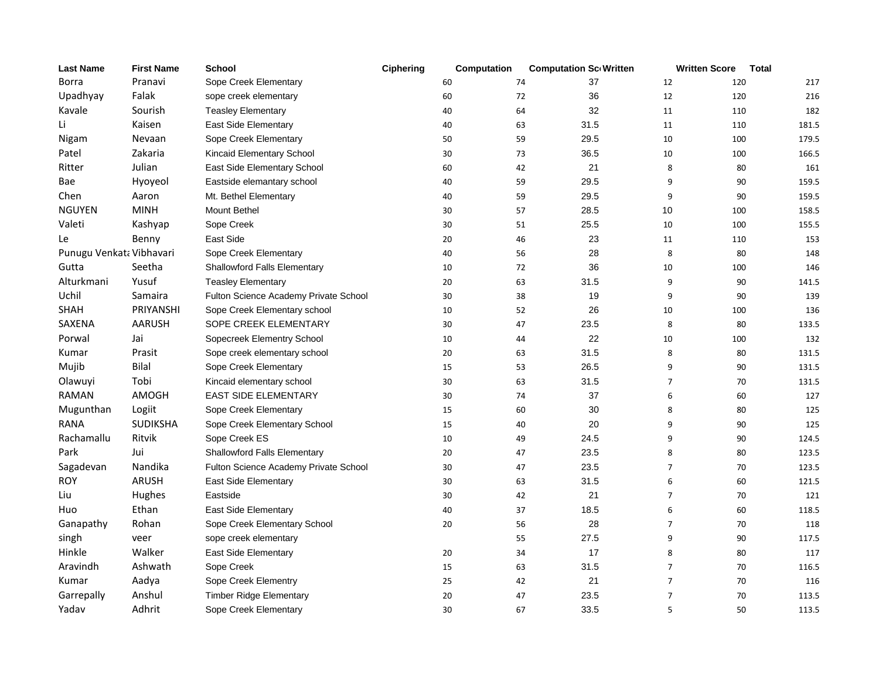| <b>Last Name</b>         | <b>First Name</b> | <b>School</b>                         | Ciphering | Computation |    | <b>Computation Sc Written</b> |                | <b>Written Score</b> | <b>Total</b> |
|--------------------------|-------------------|---------------------------------------|-----------|-------------|----|-------------------------------|----------------|----------------------|--------------|
| <b>Borra</b>             | Pranavi           | Sope Creek Elementary                 |           | 60          | 74 | 37                            | 12             | 120                  | 217          |
| Upadhyay                 | Falak             | sope creek elementary                 |           | 60          | 72 | 36                            | 12             | 120                  | 216          |
| Kavale                   | Sourish           | <b>Teasley Elementary</b>             |           | 40          | 64 | 32                            | 11             | 110                  | 182          |
| Li                       | Kaisen            | East Side Elementary                  |           | 40          | 63 | 31.5                          | 11             | 110                  | 181.5        |
| Nigam                    | Nevaan            | Sope Creek Elementary                 |           | 50          | 59 | 29.5                          | 10             | 100                  | 179.5        |
| Patel                    | Zakaria           | Kincaid Elementary School             |           | 30          | 73 | 36.5                          | 10             | 100                  | 166.5        |
| Ritter                   | Julian            | East Side Elementary School           |           | 60          | 42 | 21                            | 8              | 80                   | 161          |
| Bae                      | Hyoyeol           | Eastside elemantary school            |           | 40          | 59 | 29.5                          | 9              | 90                   | 159.5        |
| Chen                     | Aaron             | Mt. Bethel Elementary                 |           | 40          | 59 | 29.5                          | 9              | 90                   | 159.5        |
| <b>NGUYEN</b>            | <b>MINH</b>       | <b>Mount Bethel</b>                   |           | 30          | 57 | 28.5                          | 10             | 100                  | 158.5        |
| Valeti                   | Kashyap           | Sope Creek                            |           | 30          | 51 | 25.5                          | 10             | 100                  | 155.5        |
| Le                       | Benny             | East Side                             |           | 20          | 46 | 23                            | 11             | 110                  | 153          |
| Punugu Venkata Vibhavari |                   | Sope Creek Elementary                 |           | 40          | 56 | 28                            | 8              | 80                   | 148          |
| Gutta                    | Seetha            | <b>Shallowford Falls Elementary</b>   |           | 10          | 72 | 36                            | 10             | 100                  | 146          |
| Alturkmani               | Yusuf             | <b>Teasley Elementary</b>             |           | 20          | 63 | 31.5                          | 9              | 90                   | 141.5        |
| Uchil                    | Samaira           | Fulton Science Academy Private School |           | 30          | 38 | 19                            | 9              | 90                   | 139          |
| <b>SHAH</b>              | PRIYANSHI         | Sope Creek Elementary school          |           | 10          | 52 | 26                            | 10             | 100                  | 136          |
| <b>SAXENA</b>            | <b>AARUSH</b>     | SOPE CREEK ELEMENTARY                 |           | 30          | 47 | 23.5                          | 8              | 80                   | 133.5        |
| Porwal                   | Jai               | Sopecreek Elementry School            |           | 10          | 44 | 22                            | 10             | 100                  | 132          |
| Kumar                    | Prasit            | Sope creek elementary school          |           | 20          | 63 | 31.5                          | 8              | 80                   | 131.5        |
| Mujib                    | Bilal             | Sope Creek Elementary                 |           | 15          | 53 | 26.5                          | 9              | 90                   | 131.5        |
| Olawuyi                  | Tobi              | Kincaid elementary school             |           | 30          | 63 | 31.5                          | $\overline{7}$ | 70                   | 131.5        |
| <b>RAMAN</b>             | AMOGH             | <b>EAST SIDE ELEMENTARY</b>           |           | 30          | 74 | 37                            | 6              | 60                   | 127          |
| Mugunthan                | Logiit            | Sope Creek Elementary                 |           | 15          | 60 | 30                            | 8              | 80                   | 125          |
| <b>RANA</b>              | <b>SUDIKSHA</b>   | Sope Creek Elementary School          |           | 15          | 40 | 20                            | 9              | 90                   | 125          |
| Rachamallu               | Ritvik            | Sope Creek ES                         |           | 10          | 49 | 24.5                          | 9              | 90                   | 124.5        |
| Park                     | Jui               | Shallowford Falls Elementary          |           | 20          | 47 | 23.5                          | 8              | 80                   | 123.5        |
| Sagadevan                | Nandika           | Fulton Science Academy Private School |           | 30          | 47 | 23.5                          | $\overline{7}$ | 70                   | 123.5        |
| <b>ROY</b>               | <b>ARUSH</b>      | East Side Elementary                  |           | 30          | 63 | 31.5                          | 6              | 60                   | 121.5        |
| Liu                      | Hughes            | Eastside                              |           | 30          | 42 | 21                            | $\overline{7}$ | 70                   | 121          |
| Huo                      | Ethan             | East Side Elementary                  |           | 40          | 37 | 18.5                          | 6              | 60                   | 118.5        |
| Ganapathy                | Rohan             | Sope Creek Elementary School          |           | 20          | 56 | 28                            | $\overline{7}$ | 70                   | 118          |
| singh                    | veer              | sope creek elementary                 |           |             | 55 | 27.5                          | 9              | 90                   | 117.5        |
| Hinkle                   | Walker            | East Side Elementary                  |           | 20          | 34 | 17                            | 8              | 80                   | 117          |
| Aravindh                 | Ashwath           | Sope Creek                            |           | 15          | 63 | 31.5                          | $\overline{7}$ | 70                   | 116.5        |
| Kumar                    | Aadya             | Sope Creek Elementry                  |           | 25          | 42 | 21                            | $\overline{7}$ | 70                   | 116          |
| Garrepally               | Anshul            | <b>Timber Ridge Elementary</b>        |           | 20          | 47 | 23.5                          | $\overline{7}$ | 70                   | 113.5        |
| Yadav                    | Adhrit            | Sope Creek Elementary                 |           | 30          | 67 | 33.5                          | 5              | 50                   | 113.5        |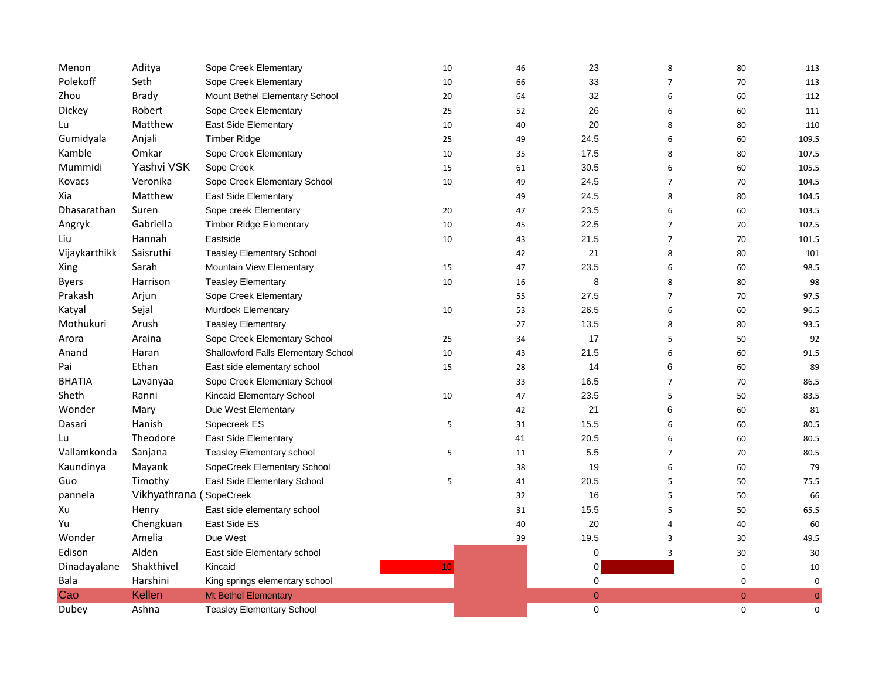| Menon         | Aditya                  | Sope Creek Elementary               | 10 | 46 | 23          | 8              | 80             | 113         |
|---------------|-------------------------|-------------------------------------|----|----|-------------|----------------|----------------|-------------|
| Polekoff      | Seth                    | Sope Creek Elementary               | 10 | 66 | 33          | $\overline{7}$ | 70             | 113         |
| Zhou          | <b>Brady</b>            | Mount Bethel Elementary School      | 20 | 64 | 32          | 6              | 60             | 112         |
| Dickey        | Robert                  | Sope Creek Elementary               | 25 | 52 | 26          | 6              | 60             | 111         |
| Lu            | Matthew                 | East Side Elementary                | 10 | 40 | 20          | 8              | 80             | 110         |
| Gumidyala     | Anjali                  | <b>Timber Ridge</b>                 | 25 | 49 | 24.5        | 6              | 60             | 109.5       |
| Kamble        | Omkar                   | Sope Creek Elementary               | 10 | 35 | 17.5        | 8              | 80             | 107.5       |
| Mummidi       | Yashvi VSK              | Sope Creek                          | 15 | 61 | 30.5        | 6              | 60             | 105.5       |
| Kovacs        | Veronika                | Sope Creek Elementary School        | 10 | 49 | 24.5        | $\overline{7}$ | 70             | 104.5       |
| Xia           | Matthew                 | East Side Elementary                |    | 49 | 24.5        | 8              | 80             | 104.5       |
| Dhasarathan   | Suren                   | Sope creek Elementary               | 20 | 47 | 23.5        | 6              | 60             | 103.5       |
| Angryk        | Gabriella               | <b>Timber Ridge Elementary</b>      | 10 | 45 | 22.5        | $\overline{7}$ | 70             | 102.5       |
| Liu           | Hannah                  | Eastside                            | 10 | 43 | 21.5        | $\overline{7}$ | 70             | 101.5       |
| Vijaykarthikk | Saisruthi               | <b>Teasley Elementary School</b>    |    | 42 | 21          | 8              | 80             | 101         |
| Xing          | Sarah                   | <b>Mountain View Elementary</b>     | 15 | 47 | 23.5        | 6              | 60             | 98.5        |
| <b>Byers</b>  | Harrison                | <b>Teasley Elementary</b>           | 10 | 16 | 8           | 8              | 80             | 98          |
| Prakash       | Arjun                   | Sope Creek Elementary               |    | 55 | 27.5        | $\overline{7}$ | 70             | 97.5        |
| Katyal        | Sejal                   | <b>Murdock Elementary</b>           | 10 | 53 | 26.5        | 6              | 60             | 96.5        |
| Mothukuri     | Arush                   | <b>Teasley Elementary</b>           |    | 27 | 13.5        | 8              | 80             | 93.5        |
| Arora         | Araina                  | Sope Creek Elementary School        | 25 | 34 | 17          | 5              | 50             | 92          |
| Anand         | Haran                   | Shallowford Falls Elementary School | 10 | 43 | 21.5        | 6              | 60             | 91.5        |
| Pai           | Ethan                   | East side elementary school         | 15 | 28 | 14          | 6              | 60             | 89          |
| <b>BHATIA</b> | Lavanyaa                | Sope Creek Elementary School        |    | 33 | 16.5        | $\overline{7}$ | 70             | 86.5        |
| Sheth         | Ranni                   | Kincaid Elementary School           | 10 | 47 | 23.5        | 5              | 50             | 83.5        |
| Wonder        | Mary                    | Due West Elementary                 |    | 42 | 21          | 6              | 60             | 81          |
| Dasari        | Hanish                  | Sopecreek ES                        | 5  | 31 | 15.5        | 6              | 60             | 80.5        |
| Lu            | Theodore                | East Side Elementary                |    | 41 | 20.5        | 6              | 60             | 80.5        |
| Vallamkonda   | Sanjana                 | <b>Teasley Elementary school</b>    | 5  | 11 | 5.5         | $\overline{7}$ | 70             | 80.5        |
| Kaundinya     | Mayank                  | SopeCreek Elementary School         |    | 38 | 19          | 6              | 60             | 79          |
| Guo           | Timothy                 | East Side Elementary School         | 5  | 41 | 20.5        | 5              | 50             | 75.5        |
| pannela       | Vikhyathrana (SopeCreek |                                     |    | 32 | 16          | 5              | 50             | 66          |
| Xu            | Henry                   | East side elementary school         |    | 31 | 15.5        | 5              | 50             | 65.5        |
| Yu            | Chengkuan               | East Side ES                        |    | 40 | 20          | $\overline{4}$ | 40             | 60          |
| Wonder        | Amelia                  | Due West                            |    | 39 | 19.5        | 3              | 30             | 49.5        |
| Edison        | Alden                   | East side Elementary school         |    |    | 0           | 3              | 30             | 30          |
| Dinadayalane  | Shakthivel              | Kincaid                             | 10 |    | 0           |                | 0              | 10          |
| Bala          | Harshini                | King springs elementary school      |    |    | 0           |                | 0              | 0           |
| Cao           | Kellen                  | Mt Bethel Elementary                |    |    | $\mathbf 0$ |                | $\overline{0}$ | $\mathbf 0$ |
| Dubey         | Ashna                   | <b>Teasley Elementary School</b>    |    |    | $\mathbf 0$ |                | 0              | 0           |